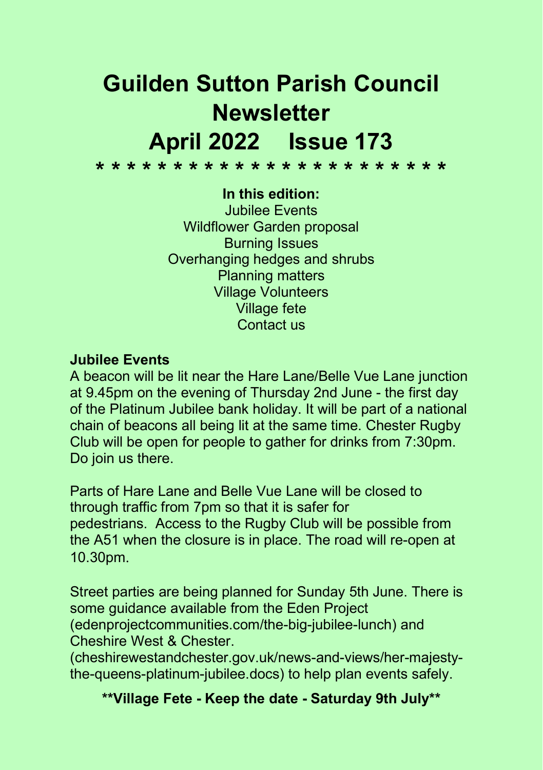# Guilden Sutton Parish Council **Newsletter** April 2022 Issue 173

\* \* \* \* \* \* \* \* \* \* \* \* \* \* \* \* \* \* \* \* \* \* \*

#### In this edition:

Jubilee Events Wildflower Garden proposal Burning Issues Overhanging hedges and shrubs Planning matters Village Volunteers Village fete Contact us

### Jubilee Events

A beacon will be lit near the Hare Lane/Belle Vue Lane junction at 9.45pm on the evening of Thursday 2nd June - the first day of the Platinum Jubilee bank holiday. It will be part of a national chain of beacons all being lit at the same time. Chester Rugby Club will be open for people to gather for drinks from 7:30pm. Do join us there.

Parts of Hare Lane and Belle Vue Lane will be closed to through traffic from 7pm so that it is safer for pedestrians. Access to the Rugby Club will be possible from the A51 when the closure is in place. The road will re-open at 10.30pm.

Street parties are being planned for Sunday 5th June. There is some guidance available from the Eden Project (edenprojectcommunities.com/the-big-jubilee-lunch) and Cheshire West & Chester.

(cheshirewestandchester.gov.uk/news-and-views/her-majestythe-queens-platinum-jubilee.docs) to help plan events safely.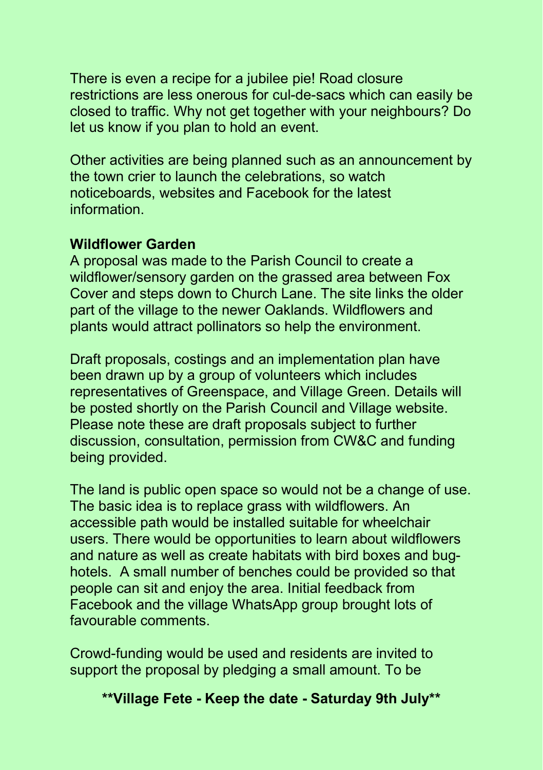There is even a recipe for a jubilee pie! Road closure restrictions are less onerous for cul-de-sacs which can easily be closed to traffic. Why not get together with your neighbours? Do let us know if you plan to hold an event.

Other activities are being planned such as an announcement by the town crier to launch the celebrations, so watch noticeboards, websites and Facebook for the latest information.

#### Wildflower Garden

A proposal was made to the Parish Council to create a wildflower/sensory garden on the grassed area between Fox Cover and steps down to Church Lane. The site links the older part of the village to the newer Oaklands. Wildflowers and plants would attract pollinators so help the environment.

Draft proposals, costings and an implementation plan have been drawn up by a group of volunteers which includes representatives of Greenspace, and Village Green. Details will be posted shortly on the Parish Council and Village website. Please note these are draft proposals subject to further discussion, consultation, permission from CW&C and funding being provided.

The land is public open space so would not be a change of use. The basic idea is to replace grass with wildflowers. An accessible path would be installed suitable for wheelchair users. There would be opportunities to learn about wildflowers and nature as well as create habitats with bird boxes and bughotels. A small number of benches could be provided so that people can sit and enjoy the area. Initial feedback from Facebook and the village WhatsApp group brought lots of favourable comments.

Crowd-funding would be used and residents are invited to support the proposal by pledging a small amount. To be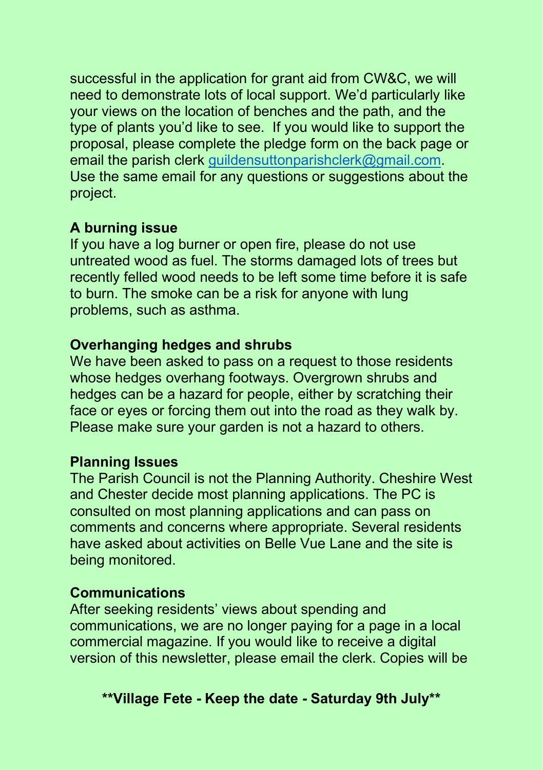successful in the application for grant aid from CW&C, we will need to demonstrate lots of local support. We'd particularly like your views on the location of benches and the path, and the type of plants you'd like to see. If you would like to support the proposal, please complete the pledge form on the back page or email the parish clerk guildensuttonparishclerk@gmail.com. Use the same email for any questions or suggestions about the project.

## A burning issue

If you have a log burner or open fire, please do not use untreated wood as fuel. The storms damaged lots of trees but recently felled wood needs to be left some time before it is safe to burn. The smoke can be a risk for anyone with lung problems, such as asthma.

### Overhanging hedges and shrubs

We have been asked to pass on a request to those residents whose hedges overhang footways. Overgrown shrubs and hedges can be a hazard for people, either by scratching their face or eyes or forcing them out into the road as they walk by. Please make sure your garden is not a hazard to others.

#### Planning Issues

The Parish Council is not the Planning Authority. Cheshire West and Chester decide most planning applications. The PC is consulted on most planning applications and can pass on comments and concerns where appropriate. Several residents have asked about activities on Belle Vue Lane and the site is being monitored.

#### Communications

After seeking residents' views about spending and communications, we are no longer paying for a page in a local commercial magazine. If you would like to receive a digital version of this newsletter, please email the clerk. Copies will be